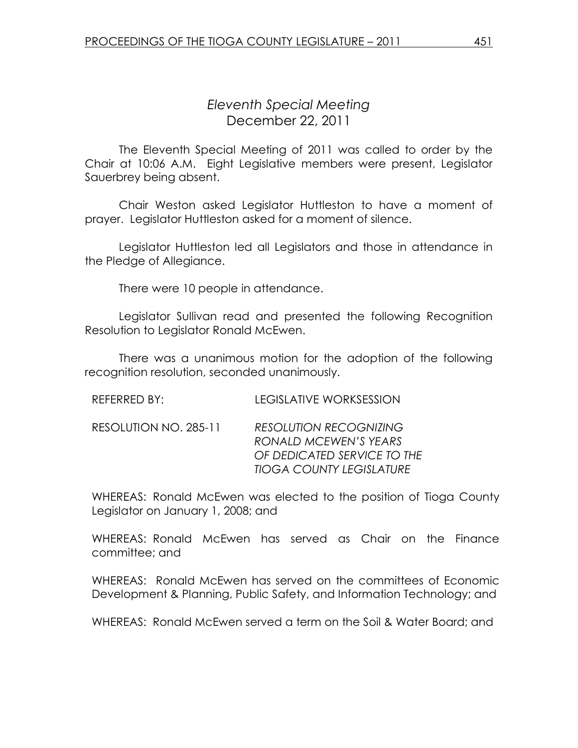## Eleventh Special Meeting December 22, 2011

 The Eleventh Special Meeting of 2011 was called to order by the Chair at 10:06 A.M. Eight Legislative members were present, Legislator Sauerbrey being absent.

Chair Weston asked Legislator Huttleston to have a moment of prayer. Legislator Huttleston asked for a moment of silence.

 Legislator Huttleston led all Legislators and those in attendance in the Pledge of Allegiance.

There were 10 people in attendance.

 Legislator Sullivan read and presented the following Recognition Resolution to Legislator Ronald McEwen.

 There was a unanimous motion for the adoption of the following recognition resolution, seconded unanimously.

| RESOLUTION NO. 285-11 | <b>RESOLUTION RECOGNIZING</b>   |
|-----------------------|---------------------------------|
|                       | RONALD MCEWEN'S YEARS           |
|                       | OF DEDICATED SERVICE TO THE     |
|                       | <b>TIOGA COUNTY LEGISLATURE</b> |
|                       |                                 |

WHEREAS: Ronald McEwen was elected to the position of Tioga County Legislator on January 1, 2008; and

WHEREAS: Ronald McEwen has served as Chair on the Finance committee; and

WHEREAS: Ronald McEwen has served on the committees of Economic Development & Planning, Public Safety, and Information Technology; and

WHEREAS: Ronald McEwen served a term on the Soil & Water Board; and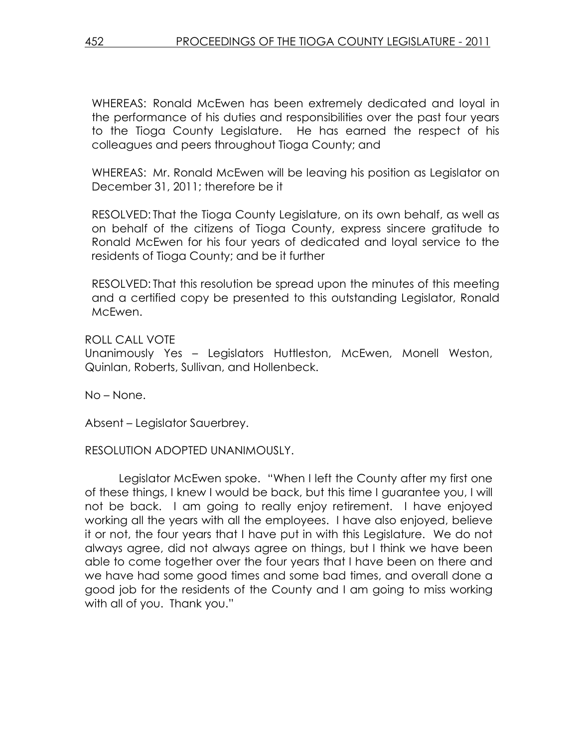WHEREAS: Ronald McEwen has been extremely dedicated and loyal in the performance of his duties and responsibilities over the past four years to the Tioga County Legislature. He has earned the respect of his colleagues and peers throughout Tioga County; and

WHEREAS: Mr. Ronald McEwen will be leaving his position as Legislator on December 31, 2011; therefore be it

RESOLVED: That the Tioga County Legislature, on its own behalf, as well as on behalf of the citizens of Tioga County, express sincere gratitude to Ronald McEwen for his four years of dedicated and loyal service to the residents of Tioga County; and be it further

RESOLVED: That this resolution be spread upon the minutes of this meeting and a certified copy be presented to this outstanding Legislator, Ronald McEwen.

ROLL CALL VOTE

Unanimously Yes – Legislators Huttleston, McEwen, Monell Weston, Quinlan, Roberts, Sullivan, and Hollenbeck.

No – None.

Absent – Legislator Sauerbrey.

## RESOLUTION ADOPTED UNANIMOUSLY.

 Legislator McEwen spoke. "When I left the County after my first one of these things, I knew I would be back, but this time I guarantee you, I will not be back. I am going to really enjoy retirement. I have enjoyed working all the years with all the employees. I have also enjoyed, believe it or not, the four years that I have put in with this Legislature. We do not always agree, did not always agree on things, but I think we have been able to come together over the four years that I have been on there and we have had some good times and some bad times, and overall done a good job for the residents of the County and I am going to miss working with all of you. Thank you."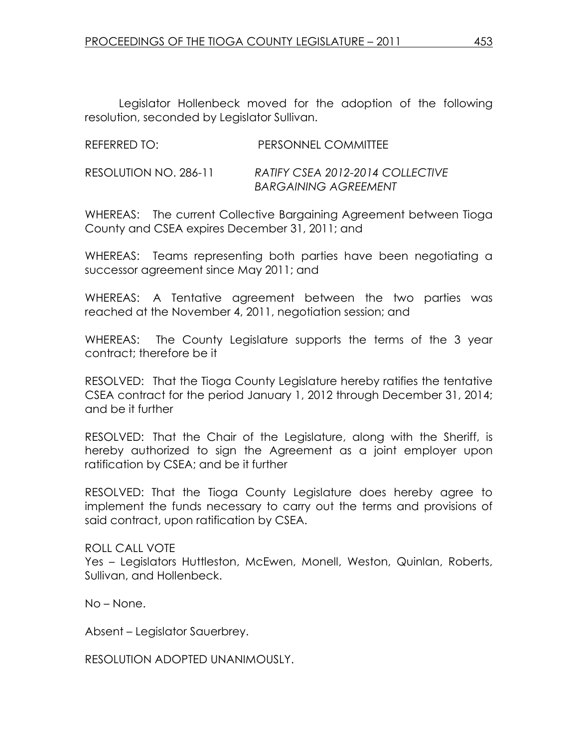Legislator Hollenbeck moved for the adoption of the following resolution, seconded by Legislator Sullivan.

| REFERRED TO:          | PERSONNEL COMMITTEE                                             |
|-----------------------|-----------------------------------------------------------------|
| RESOLUTION NO. 286-11 | RATIFY CSEA 2012-2014 COLLECTIVE<br><b>BARGAINING AGREEMENT</b> |

WHEREAS: The current Collective Bargaining Agreement between Tioga County and CSEA expires December 31, 2011; and

WHEREAS: Teams representing both parties have been negotiating a successor agreement since May 2011; and

WHEREAS: A Tentative agreement between the two parties was reached at the November 4, 2011, negotiation session; and

WHEREAS: The County Legislature supports the terms of the 3 year contract; therefore be it

RESOLVED: That the Tioga County Legislature hereby ratifies the tentative CSEA contract for the period January 1, 2012 through December 31, 2014; and be it further

RESOLVED: That the Chair of the Legislature, along with the Sheriff, is hereby authorized to sign the Agreement as a joint employer upon ratification by CSEA; and be it further

RESOLVED: That the Tioga County Legislature does hereby agree to implement the funds necessary to carry out the terms and provisions of said contract, upon ratification by CSEA.

ROLL CALL VOTE Yes – Legislators Huttleston, McEwen, Monell, Weston, Quinlan, Roberts, Sullivan, and Hollenbeck.

No – None.

Absent – Legislator Sauerbrey.

RESOLUTION ADOPTED UNANIMOUSLY.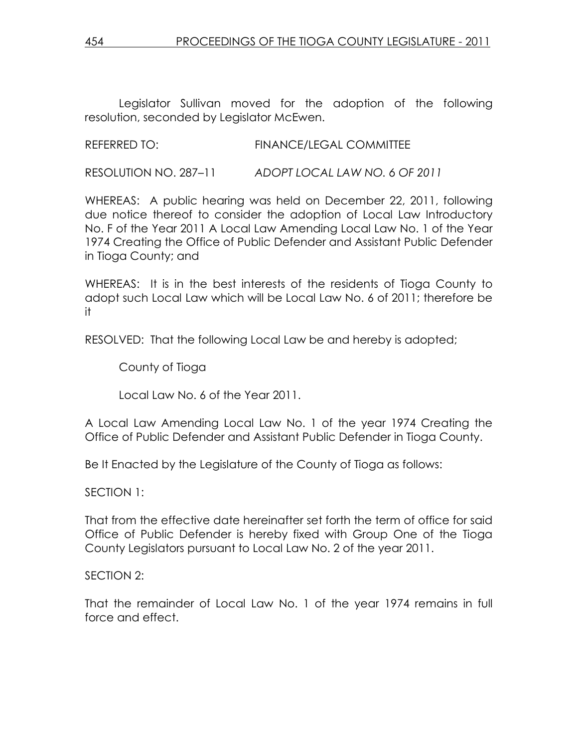Legislator Sullivan moved for the adoption of the following resolution, seconded by Legislator McEwen.

REFERRED TO: FINANCE/LEGAL COMMITTEE

RESOLUTION NO. 287–11 ADOPT LOCAL LAW NO. 6 OF 2011

WHEREAS: A public hearing was held on December 22, 2011, following due notice thereof to consider the adoption of Local Law Introductory No. F of the Year 2011 A Local Law Amending Local Law No. 1 of the Year 1974 Creating the Office of Public Defender and Assistant Public Defender in Tioga County; and

WHEREAS: It is in the best interests of the residents of Tioga County to adopt such Local Law which will be Local Law No. 6 of 2011; therefore be it

RESOLVED: That the following Local Law be and hereby is adopted;

County of Tioga

Local Law No. 6 of the Year 2011.

A Local Law Amending Local Law No. 1 of the year 1974 Creating the Office of Public Defender and Assistant Public Defender in Tioga County.

Be It Enacted by the Legislature of the County of Tioga as follows:

SECTION 1:

That from the effective date hereinafter set forth the term of office for said Office of Public Defender is hereby fixed with Group One of the Tioga County Legislators pursuant to Local Law No. 2 of the year 2011.

## SECTION 2:

That the remainder of Local Law No. 1 of the year 1974 remains in full force and effect.